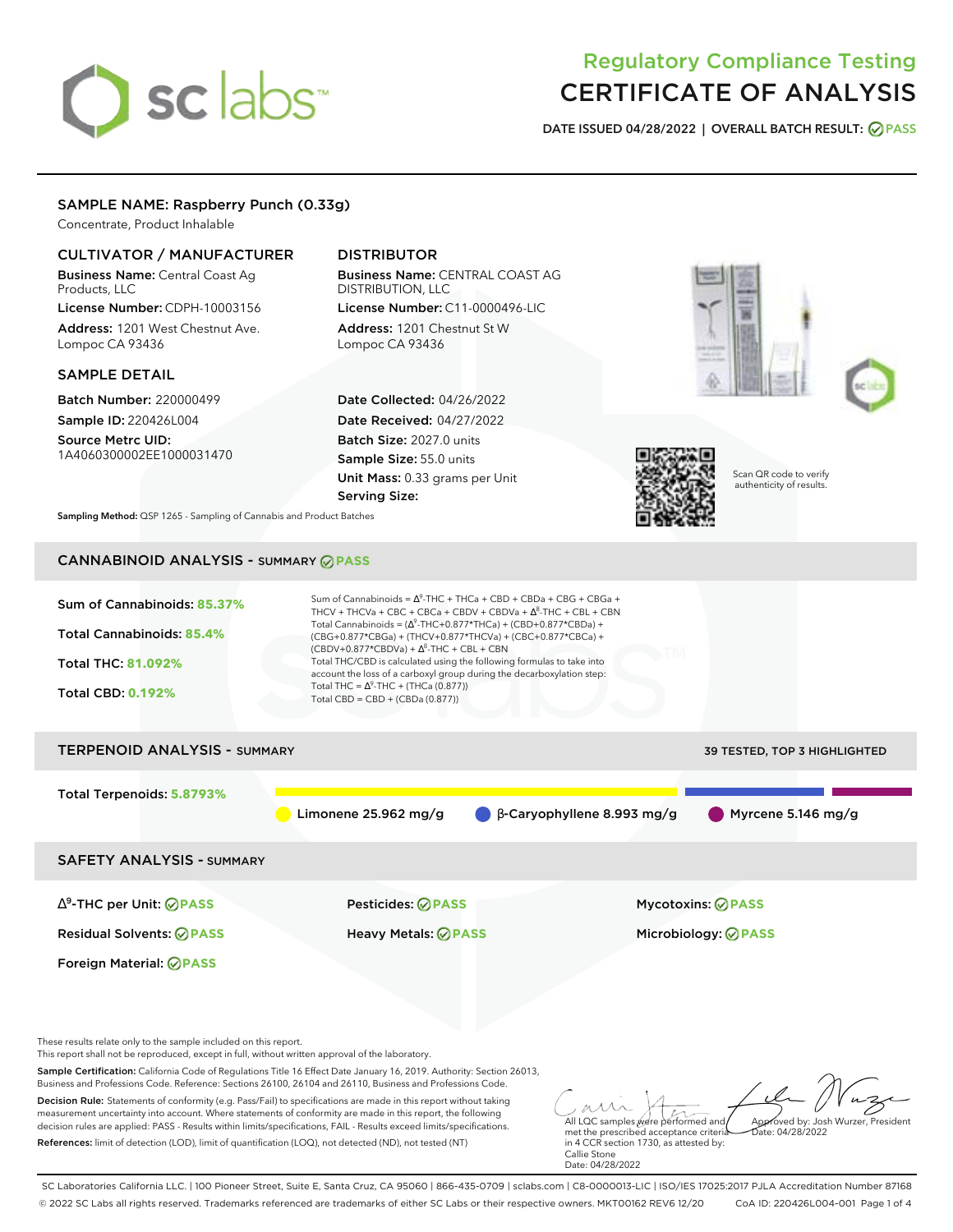# sclabs<sup>\*</sup>

# Regulatory Compliance Testing CERTIFICATE OF ANALYSIS

**DATE ISSUED 04/28/2022 | OVERALL BATCH RESULT: PASS**

# SAMPLE NAME: Raspberry Punch (0.33g)

Concentrate, Product Inhalable

# CULTIVATOR / MANUFACTURER

Business Name: Central Coast Ag Products, LLC

License Number: CDPH-10003156 Address: 1201 West Chestnut Ave. Lompoc CA 93436

# SAMPLE DETAIL

Batch Number: 220000499 Sample ID: 220426L004

Source Metrc UID: 1A4060300002EE1000031470

# DISTRIBUTOR

Business Name: CENTRAL COAST AG DISTRIBUTION, LLC License Number: C11-0000496-LIC

Address: 1201 Chestnut St W Lompoc CA 93436

Date Collected: 04/26/2022 Date Received: 04/27/2022 Batch Size: 2027.0 units Sample Size: 55.0 units Unit Mass: 0.33 grams per Unit Serving Size:







Scan QR code to verify authenticity of results.

**Sampling Method:** QSP 1265 - Sampling of Cannabis and Product Batches

# CANNABINOID ANALYSIS - SUMMARY **PASS**

| Sum of Cannabinoids: 85.37%<br>Total Cannabinoids: 85.4%<br><b>Total THC: 81.092%</b><br><b>Total CBD: 0.192%</b> | Sum of Cannabinoids = $\Delta^9$ -THC + THCa + CBD + CBDa + CBG + CBGa +<br>THCV + THCVa + CBC + CBCa + CBDV + CBDVa + $\Delta^8$ -THC + CBL + CBN<br>Total Cannabinoids = $(\Delta^9$ -THC+0.877*THCa) + (CBD+0.877*CBDa) +<br>(CBG+0.877*CBGa) + (THCV+0.877*THCVa) + (CBC+0.877*CBCa) +<br>$(CBDV+0.877*CBDVa) + \Delta^8$ -THC + CBL + CBN<br>Total THC/CBD is calculated using the following formulas to take into<br>account the loss of a carboxyl group during the decarboxylation step:<br>Total THC = $\Delta^9$ -THC + (THCa (0.877))<br>Total CBD = CBD + (CBDa (0.877)) |                            |  |  |  |  |
|-------------------------------------------------------------------------------------------------------------------|--------------------------------------------------------------------------------------------------------------------------------------------------------------------------------------------------------------------------------------------------------------------------------------------------------------------------------------------------------------------------------------------------------------------------------------------------------------------------------------------------------------------------------------------------------------------------------------|----------------------------|--|--|--|--|
| <b>TERPENOID ANALYSIS - SUMMARY</b><br>39 TESTED, TOP 3 HIGHLIGHTED                                               |                                                                                                                                                                                                                                                                                                                                                                                                                                                                                                                                                                                      |                            |  |  |  |  |
| Total Terpenoids: 5.8793%                                                                                         | Limonene 25.962 mg/g<br>$\beta$ -Caryophyllene 8.993 mg/g                                                                                                                                                                                                                                                                                                                                                                                                                                                                                                                            | Myrcene 5.146 mg/g         |  |  |  |  |
| <b>SAFETY ANALYSIS - SUMMARY</b>                                                                                  |                                                                                                                                                                                                                                                                                                                                                                                                                                                                                                                                                                                      |                            |  |  |  |  |
| $\Delta^9$ -THC per Unit: $\oslash$ PASS                                                                          | <b>Pesticides: ⊘ PASS</b>                                                                                                                                                                                                                                                                                                                                                                                                                                                                                                                                                            | <b>Mycotoxins: ⊘PASS</b>   |  |  |  |  |
| <b>Residual Solvents: ⊘PASS</b>                                                                                   | Heavy Metals: @PASS                                                                                                                                                                                                                                                                                                                                                                                                                                                                                                                                                                  | Microbiology: <b>⊘PASS</b> |  |  |  |  |
| Foreign Material: <b>⊘ PASS</b>                                                                                   |                                                                                                                                                                                                                                                                                                                                                                                                                                                                                                                                                                                      |                            |  |  |  |  |

These results relate only to the sample included on this report.

This report shall not be reproduced, except in full, without written approval of the laboratory.

Sample Certification: California Code of Regulations Title 16 Effect Date January 16, 2019. Authority: Section 26013, Business and Professions Code. Reference: Sections 26100, 26104 and 26110, Business and Professions Code.

Decision Rule: Statements of conformity (e.g. Pass/Fail) to specifications are made in this report without taking measurement uncertainty into account. Where statements of conformity are made in this report, the following decision rules are applied: PASS - Results within limits/specifications, FAIL - Results exceed limits/specifications. References: limit of detection (LOD), limit of quantification (LOQ), not detected (ND), not tested (NT)

All LQC samples were performed and met the prescribed acceptance criteria Approved by: Josh Wurzer, President  $hat(0.4/28/2022)$ 

in 4 CCR section 1730, as attested by: Callie Stone Date: 04/28/2022

SC Laboratories California LLC. | 100 Pioneer Street, Suite E, Santa Cruz, CA 95060 | 866-435-0709 | sclabs.com | C8-0000013-LIC | ISO/IES 17025:2017 PJLA Accreditation Number 87168 © 2022 SC Labs all rights reserved. Trademarks referenced are trademarks of either SC Labs or their respective owners. MKT00162 REV6 12/20 CoA ID: 220426L004-001 Page 1 of 4